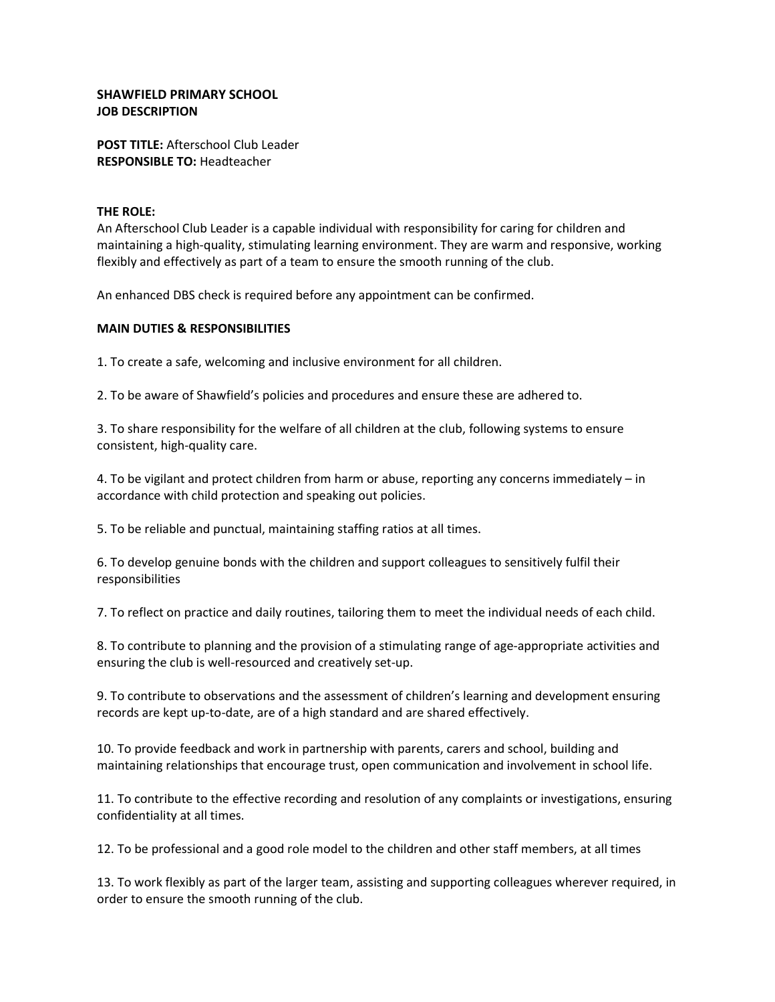## SHAWFIELD PRIMARY SCHOOL JOB DESCRIPTION

POST TITLE: Afterschool Club Leader RESPONSIBLE TO: Headteacher

## THE ROLE:

An Afterschool Club Leader is a capable individual with responsibility for caring for children and maintaining a high-quality, stimulating learning environment. They are warm and responsive, working flexibly and effectively as part of a team to ensure the smooth running of the club.

An enhanced DBS check is required before any appointment can be confirmed.

## MAIN DUTIES & RESPONSIBILITIES

1. To create a safe, welcoming and inclusive environment for all children.

2. To be aware of Shawfield's policies and procedures and ensure these are adhered to.

3. To share responsibility for the welfare of all children at the club, following systems to ensure consistent, high-quality care.

4. To be vigilant and protect children from harm or abuse, reporting any concerns immediately – in accordance with child protection and speaking out policies.

5. To be reliable and punctual, maintaining staffing ratios at all times.

6. To develop genuine bonds with the children and support colleagues to sensitively fulfil their responsibilities

7. To reflect on practice and daily routines, tailoring them to meet the individual needs of each child.

8. To contribute to planning and the provision of a stimulating range of age-appropriate activities and ensuring the club is well-resourced and creatively set-up.

9. To contribute to observations and the assessment of children's learning and development ensuring records are kept up-to-date, are of a high standard and are shared effectively.

10. To provide feedback and work in partnership with parents, carers and school, building and maintaining relationships that encourage trust, open communication and involvement in school life.

11. To contribute to the effective recording and resolution of any complaints or investigations, ensuring confidentiality at all times.

12. To be professional and a good role model to the children and other staff members, at all times

13. To work flexibly as part of the larger team, assisting and supporting colleagues wherever required, in order to ensure the smooth running of the club.